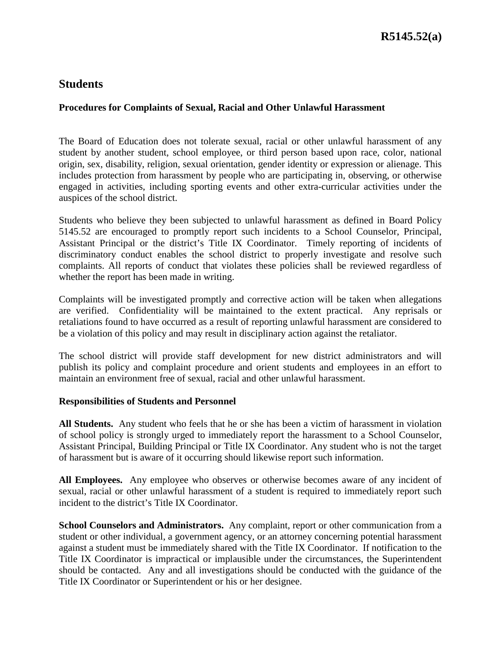## **Procedures for Complaints of Sexual, Racial and Other Unlawful Harassment**

The Board of Education does not tolerate sexual, racial or other unlawful harassment of any student by another student, school employee, or third person based upon race, color, national origin, sex, disability, religion, sexual orientation, gender identity or expression or alienage. This includes protection from harassment by people who are participating in, observing, or otherwise engaged in activities, including sporting events and other extra-curricular activities under the auspices of the school district.

Students who believe they been subjected to unlawful harassment as defined in Board Policy 5145.52 are encouraged to promptly report such incidents to a School Counselor, Principal, Assistant Principal or the district's Title IX Coordinator. Timely reporting of incidents of discriminatory conduct enables the school district to properly investigate and resolve such complaints. All reports of conduct that violates these policies shall be reviewed regardless of whether the report has been made in writing.

Complaints will be investigated promptly and corrective action will be taken when allegations are verified. Confidentiality will be maintained to the extent practical. Any reprisals or retaliations found to have occurred as a result of reporting unlawful harassment are considered to be a violation of this policy and may result in disciplinary action against the retaliator.

The school district will provide staff development for new district administrators and will publish its policy and complaint procedure and orient students and employees in an effort to maintain an environment free of sexual, racial and other unlawful harassment.

#### **Responsibilities of Students and Personnel**

**All Students.** Any student who feels that he or she has been a victim of harassment in violation of school policy is strongly urged to immediately report the harassment to a School Counselor, Assistant Principal, Building Principal or Title IX Coordinator. Any student who is not the target of harassment but is aware of it occurring should likewise report such information.

**All Employees.** Any employee who observes or otherwise becomes aware of any incident of sexual, racial or other unlawful harassment of a student is required to immediately report such incident to the district's Title IX Coordinator.

**School Counselors and Administrators.** Any complaint, report or other communication from a student or other individual, a government agency, or an attorney concerning potential harassment against a student must be immediately shared with the Title IX Coordinator. If notification to the Title IX Coordinator is impractical or implausible under the circumstances, the Superintendent should be contacted. Any and all investigations should be conducted with the guidance of the Title IX Coordinator or Superintendent or his or her designee.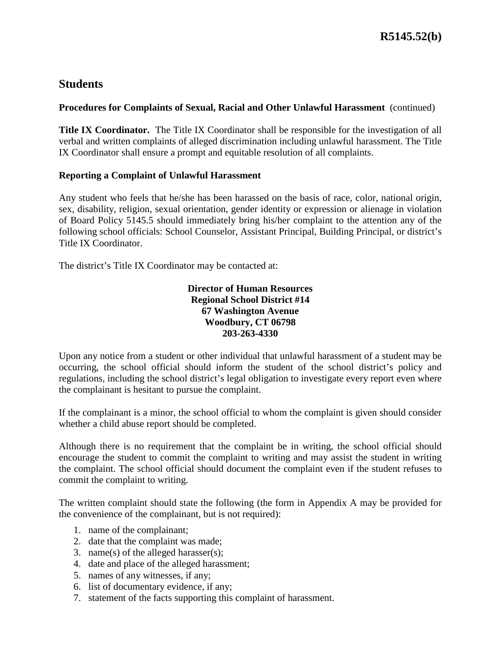#### **Procedures for Complaints of Sexual, Racial and Other Unlawful Harassment** (continued)

**Title IX Coordinator.** The Title IX Coordinator shall be responsible for the investigation of all verbal and written complaints of alleged discrimination including unlawful harassment. The Title IX Coordinator shall ensure a prompt and equitable resolution of all complaints.

#### **Reporting a Complaint of Unlawful Harassment**

Any student who feels that he/she has been harassed on the basis of race, color, national origin, sex, disability, religion, sexual orientation, gender identity or expression or alienage in violation of Board Policy 5145.5 should immediately bring his/her complaint to the attention any of the following school officials: School Counselor, Assistant Principal, Building Principal, or district's Title IX Coordinator.

The district's Title IX Coordinator may be contacted at:

## **Director of Human Resources Regional School District #14 67 Washington Avenue Woodbury, CT 06798 203-263-4330**

Upon any notice from a student or other individual that unlawful harassment of a student may be occurring, the school official should inform the student of the school district's policy and regulations, including the school district's legal obligation to investigate every report even where the complainant is hesitant to pursue the complaint.

If the complainant is a minor, the school official to whom the complaint is given should consider whether a child abuse report should be completed.

Although there is no requirement that the complaint be in writing, the school official should encourage the student to commit the complaint to writing and may assist the student in writing the complaint. The school official should document the complaint even if the student refuses to commit the complaint to writing.

The written complaint should state the following (the form in Appendix A may be provided for the convenience of the complainant, but is not required):

- 1. name of the complainant;
- 2. date that the complaint was made;
- 3. name(s) of the alleged harasser(s);
- 4. date and place of the alleged harassment;
- 5. names of any witnesses, if any;
- 6. list of documentary evidence, if any;
- 7. statement of the facts supporting this complaint of harassment.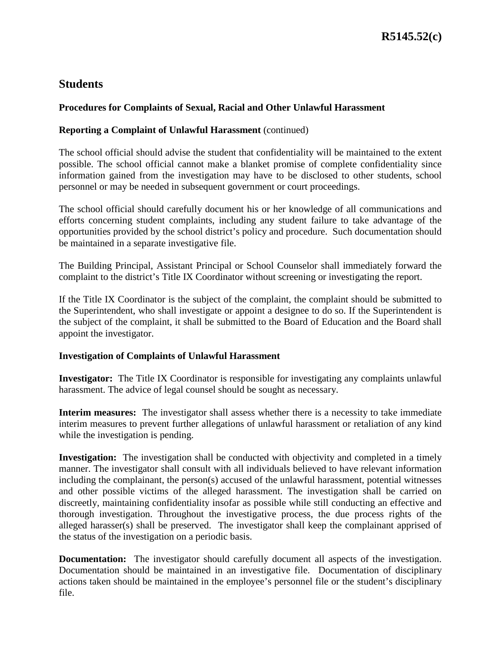## **Procedures for Complaints of Sexual, Racial and Other Unlawful Harassment**

## **Reporting a Complaint of Unlawful Harassment** (continued)

The school official should advise the student that confidentiality will be maintained to the extent possible. The school official cannot make a blanket promise of complete confidentiality since information gained from the investigation may have to be disclosed to other students, school personnel or may be needed in subsequent government or court proceedings.

The school official should carefully document his or her knowledge of all communications and efforts concerning student complaints, including any student failure to take advantage of the opportunities provided by the school district's policy and procedure. Such documentation should be maintained in a separate investigative file.

The Building Principal, Assistant Principal or School Counselor shall immediately forward the complaint to the district's Title IX Coordinator without screening or investigating the report.

If the Title IX Coordinator is the subject of the complaint, the complaint should be submitted to the Superintendent, who shall investigate or appoint a designee to do so. If the Superintendent is the subject of the complaint, it shall be submitted to the Board of Education and the Board shall appoint the investigator.

#### **Investigation of Complaints of Unlawful Harassment**

**Investigator:**The Title IX Coordinator is responsible for investigating any complaints unlawful harassment. The advice of legal counsel should be sought as necessary.

**Interim measures:** The investigator shall assess whether there is a necessity to take immediate interim measures to prevent further allegations of unlawful harassment or retaliation of any kind while the investigation is pending.

**Investigation:** The investigation shall be conducted with objectivity and completed in a timely manner. The investigator shall consult with all individuals believed to have relevant information including the complainant, the person(s) accused of the unlawful harassment, potential witnesses and other possible victims of the alleged harassment. The investigation shall be carried on discreetly, maintaining confidentiality insofar as possible while still conducting an effective and thorough investigation. Throughout the investigative process, the due process rights of the alleged harasser(s) shall be preserved. The investigator shall keep the complainant apprised of the status of the investigation on a periodic basis.

**Documentation:** The investigator should carefully document all aspects of the investigation. Documentation should be maintained in an investigative file. Documentation of disciplinary actions taken should be maintained in the employee's personnel file or the student's disciplinary file.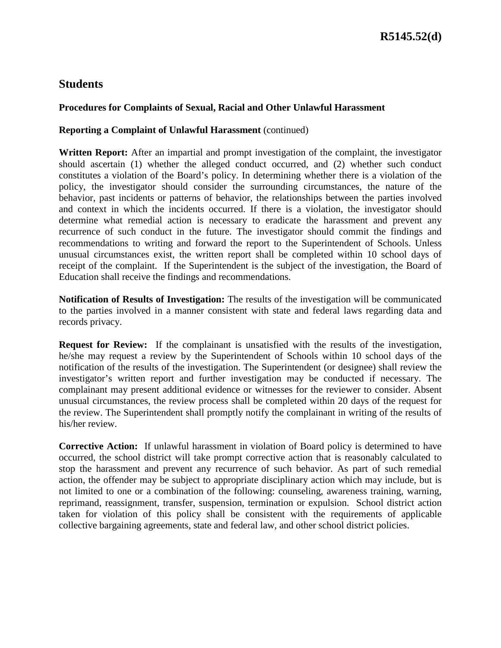## **Procedures for Complaints of Sexual, Racial and Other Unlawful Harassment**

#### **Reporting a Complaint of Unlawful Harassment** (continued)

**Written Report:** After an impartial and prompt investigation of the complaint, the investigator should ascertain (1) whether the alleged conduct occurred, and (2) whether such conduct constitutes a violation of the Board's policy. In determining whether there is a violation of the policy, the investigator should consider the surrounding circumstances, the nature of the behavior, past incidents or patterns of behavior, the relationships between the parties involved and context in which the incidents occurred. If there is a violation, the investigator should determine what remedial action is necessary to eradicate the harassment and prevent any recurrence of such conduct in the future. The investigator should commit the findings and recommendations to writing and forward the report to the Superintendent of Schools. Unless unusual circumstances exist, the written report shall be completed within 10 school days of receipt of the complaint. If the Superintendent is the subject of the investigation, the Board of Education shall receive the findings and recommendations.

**Notification of Results of Investigation:** The results of the investigation will be communicated to the parties involved in a manner consistent with state and federal laws regarding data and records privacy.

**Request for Review:** If the complainant is unsatisfied with the results of the investigation, he/she may request a review by the Superintendent of Schools within 10 school days of the notification of the results of the investigation. The Superintendent (or designee) shall review the investigator's written report and further investigation may be conducted if necessary. The complainant may present additional evidence or witnesses for the reviewer to consider. Absent unusual circumstances, the review process shall be completed within 20 days of the request for the review. The Superintendent shall promptly notify the complainant in writing of the results of his/her review.

**Corrective Action:**If unlawful harassment in violation of Board policy is determined to have occurred, the school district will take prompt corrective action that is reasonably calculated to stop the harassment and prevent any recurrence of such behavior. As part of such remedial action, the offender may be subject to appropriate disciplinary action which may include, but is not limited to one or a combination of the following: counseling, awareness training, warning, reprimand, reassignment, transfer, suspension, termination or expulsion. School district action taken for violation of this policy shall be consistent with the requirements of applicable collective bargaining agreements, state and federal law, and other school district policies.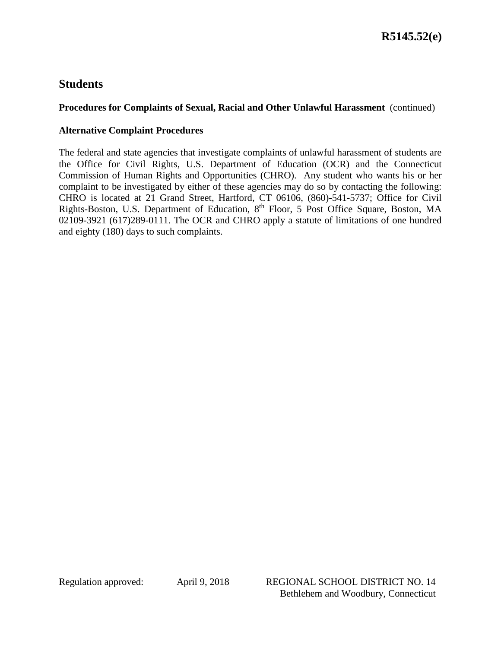## **Procedures for Complaints of Sexual, Racial and Other Unlawful Harassment** (continued)

## **Alternative Complaint Procedures**

The federal and state agencies that investigate complaints of unlawful harassment of students are the Office for Civil Rights, U.S. Department of Education (OCR) and the Connecticut Commission of Human Rights and Opportunities (CHRO). Any student who wants his or her complaint to be investigated by either of these agencies may do so by contacting the following: CHRO is located at 21 Grand Street, Hartford, CT 06106, (860)-541-5737; Office for Civil Rights-Boston, U.S. Department of Education, 8th Floor, 5 Post Office Square, Boston, MA 02109-3921 (617)289-0111. The OCR and CHRO apply a statute of limitations of one hundred and eighty (180) days to such complaints.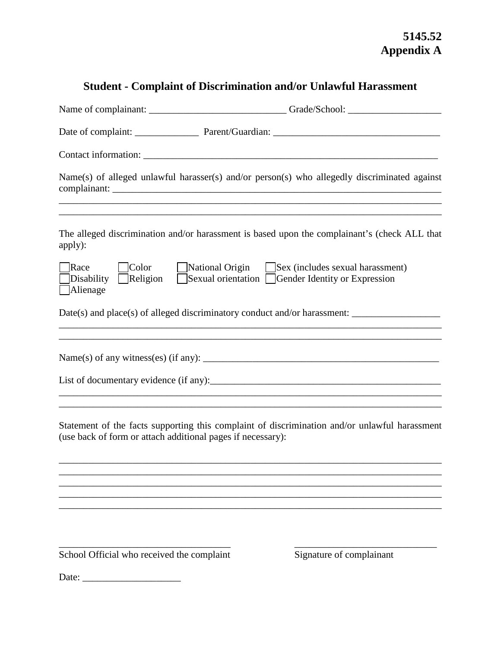## **5145.52 Appendix A**

# **Student - Complaint of Discrimination and/or Unlawful Harassment**

|                                                             | Name(s) of alleged unlawful harasser(s) and/or person(s) who allegedly discriminated against<br>,我们也不能在这里的时候,我们也不能在这里的时候,我们也不能会在这里的时候,我们也不能会在这里的时候,我们也不能会在这里的时候,我们也不能会在这里的时候,我们也不 |
|-------------------------------------------------------------|-----------------------------------------------------------------------------------------------------------------------------------------------------------------------------------|
| apply):                                                     | The alleged discrimination and/or harassment is based upon the complainant's (check ALL that                                                                                      |
| Race<br>Color<br>Religion<br>Disability<br>Alienage         | National Origin Sex (includes sexual harassment)<br>Sexual orientation Gender Identity or Expression                                                                              |
|                                                             |                                                                                                                                                                                   |
|                                                             |                                                                                                                                                                                   |
|                                                             |                                                                                                                                                                                   |
| (use back of form or attach additional pages if necessary): | Statement of the facts supporting this complaint of discrimination and/or unlawful harassment                                                                                     |
|                                                             |                                                                                                                                                                                   |
|                                                             |                                                                                                                                                                                   |
| School Official who received the complaint                  | Signature of complainant                                                                                                                                                          |
| Date:                                                       |                                                                                                                                                                                   |